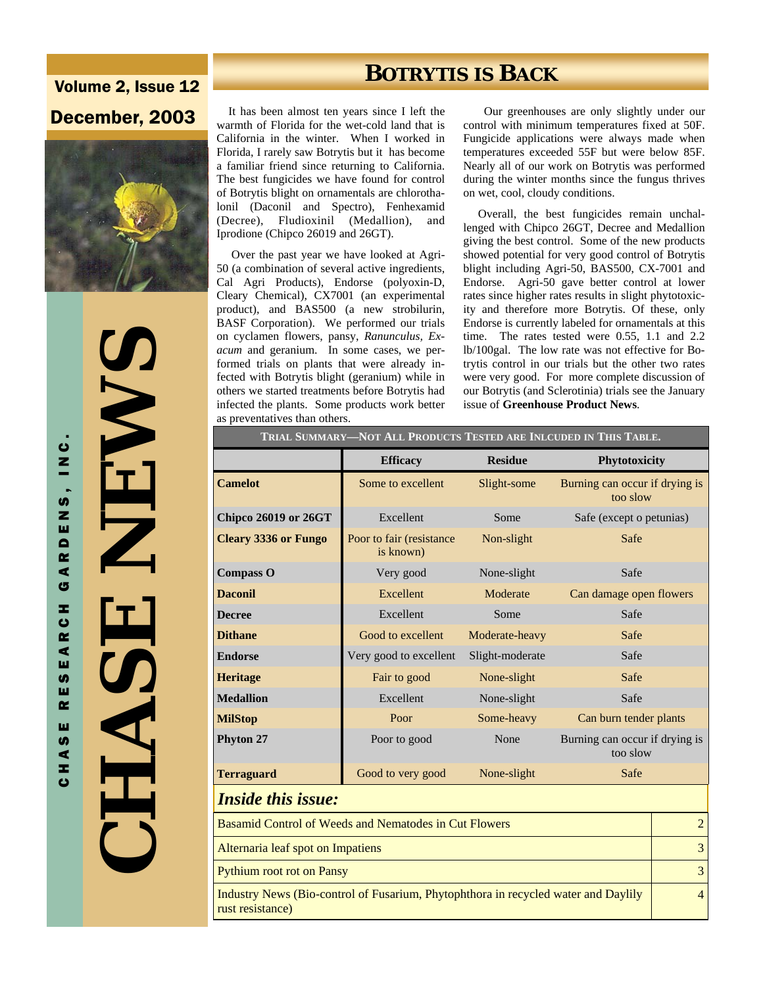# Volume 2, Issue 12 December, 2003



 **CHASE NEWS**   $\overline{\mathbf{C}}$ NHN  $\mathbf{r}$ **AAH** 

## **BOTRYTIS IS BACK**

 It has been almost ten years since I left the warmth of Florida for the wet-cold land that is California in the winter. When I worked in Florida, I rarely saw Botrytis but it has become a familiar friend since returning to California. The best fungicides we have found for control of Botrytis blight on ornamentals are chlorothalonil (Daconil and Spectro), Fenhexamid (Decree), Fludioxinil (Medallion), and Iprodione (Chipco 26019 and 26GT).

 Over the past year we have looked at Agri-50 (a combination of several active ingredients, Cal Agri Products), Endorse (polyoxin-D, Cleary Chemical), CX7001 (an experimental product), and BAS500 (a new strobilurin, BASF Corporation). We performed our trials on cyclamen flowers, pansy, *Ranunculus, Exacum* and geranium. In some cases, we performed trials on plants that were already infected with Botrytis blight (geranium) while in others we started treatments before Botrytis had infected the plants. Some products work better as preventatives than others.

 Our greenhouses are only slightly under our control with minimum temperatures fixed at 50F. Fungicide applications were always made when temperatures exceeded 55F but were below 85F. Nearly all of our work on Botrytis was performed during the winter months since the fungus thrives on wet, cool, cloudy conditions.

 Overall, the best fungicides remain unchallenged with Chipco 26GT, Decree and Medallion giving the best control. Some of the new products showed potential for very good control of Botrytis blight including Agri-50, BAS500, CX-7001 and Endorse. Agri-50 gave better control at lower rates since higher rates results in slight phytotoxicity and therefore more Botrytis. Of these, only Endorse is currently labeled for ornamentals at this time. The rates tested were 0.55, 1.1 and 2.2 lb/100gal. The low rate was not effective for Botrytis control in our trials but the other two rates were very good. For more complete discussion of our Botrytis (and Sclerotinia) trials see the January issue of **Greenhouse Product News**.

| TRIAL SUMMARY-NOT ALL PRODUCTS TESTED ARE INLCUDED IN THIS TABLE.                                      |                                       |                 |                                            |  |  |  |
|--------------------------------------------------------------------------------------------------------|---------------------------------------|-----------------|--------------------------------------------|--|--|--|
|                                                                                                        | <b>Efficacy</b>                       | <b>Residue</b>  | <b>Phytotoxicity</b>                       |  |  |  |
| <b>Camelot</b>                                                                                         | Some to excellent                     | Slight-some     | Burning can occur if drying is<br>too slow |  |  |  |
| <b>Chipco 26019 or 26GT</b>                                                                            | Excellent                             | Some            | Safe (except o petunias)                   |  |  |  |
| <b>Cleary 3336 or Fungo</b>                                                                            | Poor to fair (resistance<br>is known) | Non-slight      | Safe                                       |  |  |  |
| <b>Compass O</b>                                                                                       | Very good                             | None-slight     | Safe                                       |  |  |  |
| <b>Daconil</b>                                                                                         | Excellent                             | Moderate        | Can damage open flowers                    |  |  |  |
| <b>Decree</b>                                                                                          | Excellent                             | Some            | Safe                                       |  |  |  |
| <b>Dithane</b>                                                                                         | Good to excellent                     | Moderate-heavy  | Safe                                       |  |  |  |
| <b>Endorse</b>                                                                                         | Very good to excellent                | Slight-moderate | Safe                                       |  |  |  |
| <b>Heritage</b>                                                                                        | Fair to good                          | None-slight     | Safe                                       |  |  |  |
| <b>Medallion</b>                                                                                       | Excellent                             | None-slight     | Safe                                       |  |  |  |
| <b>MilStop</b>                                                                                         | Poor                                  | Some-heavy      | Can burn tender plants                     |  |  |  |
| Phyton 27                                                                                              | Poor to good                          | None            | Burning can occur if drying is<br>too slow |  |  |  |
| <b>Terraguard</b>                                                                                      | Good to very good                     | None-slight     | Safe                                       |  |  |  |
| <b>Inside this issue:</b>                                                                              |                                       |                 |                                            |  |  |  |
| Basamid Control of Weeds and Nematodes in Cut Flowers                                                  |                                       |                 |                                            |  |  |  |
| Alternaria leaf spot on Impatiens                                                                      |                                       |                 |                                            |  |  |  |
| <b>Pythium root rot on Pansy</b>                                                                       |                                       |                 |                                            |  |  |  |
| Industry News (Bio-control of Fusarium, Phytophthora in recycled water and Daylily<br>rust resistance) |                                       |                 |                                            |  |  |  |
|                                                                                                        |                                       |                 |                                            |  |  |  |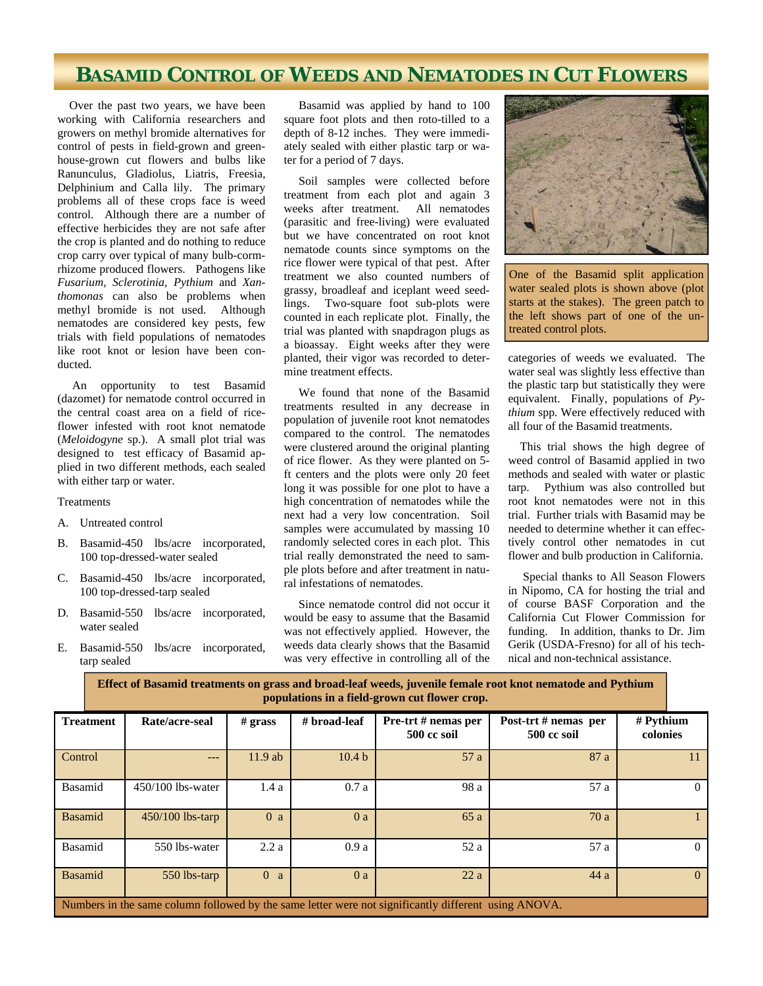### **BASAMID CONTROL OF WEEDS AND NEMATODES IN CUT FLOWERS**

 Over the past two years, we have been working with California researchers and growers on methyl bromide alternatives for control of pests in field-grown and greenhouse-grown cut flowers and bulbs like Ranunculus, Gladiolus, Liatris, Freesia, Delphinium and Calla lily. The primary problems all of these crops face is weed control. Although there are a number of effective herbicides they are not safe after the crop is planted and do nothing to reduce crop carry over typical of many bulb-cormrhizome produced flowers. Pathogens like *Fusarium, Sclerotinia, Pythium* and *Xanthomonas* can also be problems when methyl bromide is not used. Although nematodes are considered key pests, few trials with field populations of nematodes like root knot or lesion have been conducted.

 An opportunity to test Basamid (dazomet) for nematode control occurred in the central coast area on a field of riceflower infested with root knot nematode (*Meloidogyne* sp.). A small plot trial was designed to test efficacy of Basamid applied in two different methods, each sealed with either tarp or water.

#### **Treatments**

- A. Untreated control
- B. Basamid-450 lbs/acre incorporated, 100 top-dressed-water sealed
- C. Basamid-450 lbs/acre incorporated, 100 top-dressed-tarp sealed
- D. Basamid-550 lbs/acre incorporated, water sealed
- E. Basamid-550 lbs/acre incorporated, tarp sealed

 Basamid was applied by hand to 100 square foot plots and then roto-tilled to a depth of 8-12 inches. They were immediately sealed with either plastic tarp or water for a period of 7 days.

 Soil samples were collected before treatment from each plot and again 3 weeks after treatment. All nematodes (parasitic and free-living) were evaluated but we have concentrated on root knot nematode counts since symptoms on the rice flower were typical of that pest. After treatment we also counted numbers of grassy, broadleaf and iceplant weed seedlings. Two-square foot sub-plots were counted in each replicate plot. Finally, the trial was planted with snapdragon plugs as a bioassay. Eight weeks after they were planted, their vigor was recorded to determine treatment effects.

 We found that none of the Basamid treatments resulted in any decrease in population of juvenile root knot nematodes compared to the control. The nematodes were clustered around the original planting of rice flower. As they were planted on 5 ft centers and the plots were only 20 feet long it was possible for one plot to have a high concentration of nematodes while the next had a very low concentration. Soil samples were accumulated by massing 10 randomly selected cores in each plot. This trial really demonstrated the need to sample plots before and after treatment in natural infestations of nematodes.

 Since nematode control did not occur it would be easy to assume that the Basamid was not effectively applied. However, the weeds data clearly shows that the Basamid was very effective in controlling all of the



One of the Basamid split application water sealed plots is shown above (plot starts at the stakes). The green patch to the left shows part of one of the untreated control plots.

categories of weeds we evaluated. The water seal was slightly less effective than the plastic tarp but statistically they were equivalent. Finally, populations of *Pythium* spp. Were effectively reduced with all four of the Basamid treatments.

 This trial shows the high degree of weed control of Basamid applied in two methods and sealed with water or plastic tarp. Pythium was also controlled but root knot nematodes were not in this trial. Further trials with Basamid may be needed to determine whether it can effectively control other nematodes in cut flower and bulb production in California.

 Special thanks to All Season Flowers in Nipomo, CA for hosting the trial and of course BASF Corporation and the California Cut Flower Commission for funding. In addition, thanks to Dr. Jim Gerik (USDA-Fresno) for all of his technical and non-technical assistance.

**Effect of Basamid treatments on grass and broad-leaf weeds, juvenile female root knot nematode and Pythium populations in a field-grown cut flower crop.** 

| <b>Treatment</b>                                                                                     | Rate/acre-seal      | $#$ grass      | $#$ broad-leaf    | Pre-trt # nemas per<br>500 cc soil | Post-trt # nemas per<br>500 cc soil | # Pythium<br>colonies |  |
|------------------------------------------------------------------------------------------------------|---------------------|----------------|-------------------|------------------------------------|-------------------------------------|-----------------------|--|
| Control                                                                                              | $---$               | $11.9$ ab      | 10.4 <sub>b</sub> | 57 a                               | 87 a                                | 11                    |  |
| Basamid                                                                                              | $450/100$ lbs-water | 1.4a           | 0.7a              | 98 a                               | 57 a                                | $\Omega$              |  |
| <b>Basamid</b>                                                                                       | $450/100$ lbs-tarp  | 0 <sub>a</sub> | 0a                | 65a                                | 70a                                 |                       |  |
| Basamid                                                                                              | 550 lbs-water       | 2.2a           | 0.9a              | 52 a                               | 57 a                                | $\Omega$              |  |
| Basamid                                                                                              | 550 lbs-tarp        | 0 <sub>a</sub> | 0a                | 22a                                | 44a                                 | $\Omega$              |  |
| Numbers in the same column followed by the same letter were not significantly different using ANOVA. |                     |                |                   |                                    |                                     |                       |  |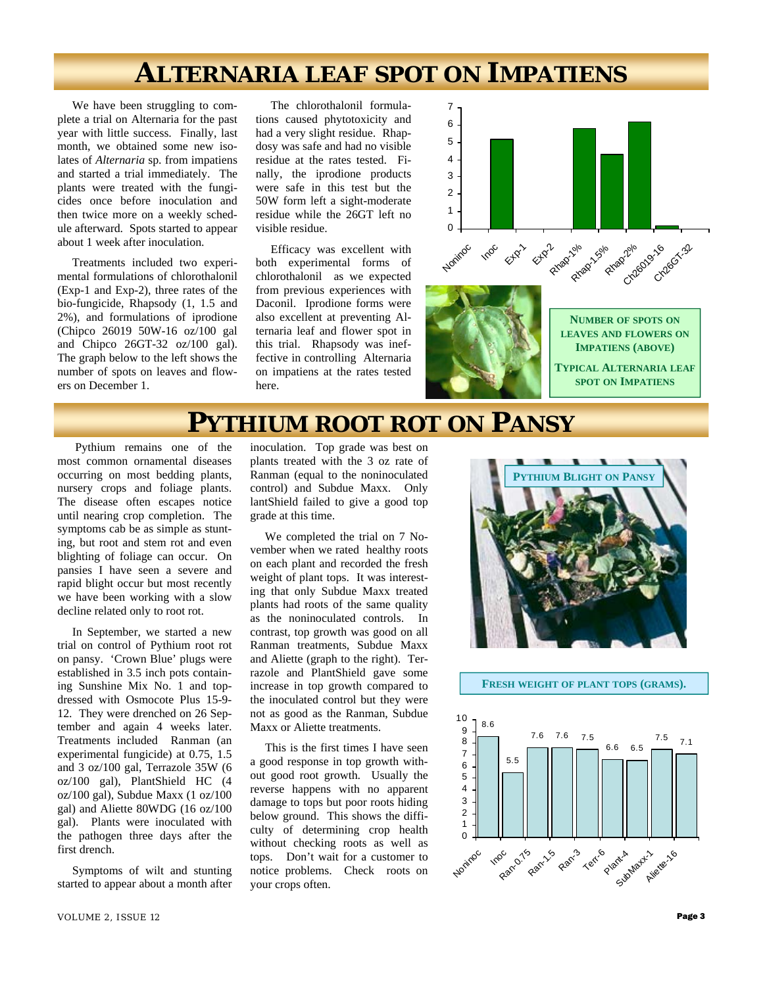# **ALTERNARIA LEAF SPOT ON IMPATIENS**

 We have been struggling to complete a trial on Alternaria for the past year with little success. Finally, last month, we obtained some new isolates of *Alternaria* sp. from impatiens and started a trial immediately. The plants were treated with the fungicides once before inoculation and then twice more on a weekly schedule afterward. Spots started to appear about 1 week after inoculation.

 Treatments included two experimental formulations of chlorothalonil (Exp-1 and Exp-2), three rates of the bio-fungicide, Rhapsody (1, 1.5 and 2%), and formulations of iprodione (Chipco 26019 50W-16 oz/100 gal and Chipco 26GT-32 oz/100 gal). The graph below to the left shows the number of spots on leaves and flowers on December 1.

 The chlorothalonil formulations caused phytotoxicity and had a very slight residue. Rhapdosy was safe and had no visible residue at the rates tested. Finally, the iprodione products were safe in this test but the 50W form left a sight-moderate residue while the 26GT left no visible residue.

 Efficacy was excellent with both experimental forms of chlorothalonil as we expected from previous experiences with Daconil. Iprodione forms were also excellent at preventing Alternaria leaf and flower spot in this trial. Rhapsody was ineffective in controlling Alternaria on impatiens at the rates tested here.



## **PYTHIUM ROOT ROT ON PANSY**

 Pythium remains one of the most common ornamental diseases occurring on most bedding plants, nursery crops and foliage plants. The disease often escapes notice until nearing crop completion. The symptoms cab be as simple as stunting, but root and stem rot and even blighting of foliage can occur. On pansies I have seen a severe and rapid blight occur but most recently we have been working with a slow decline related only to root rot.

 In September, we started a new trial on control of Pythium root rot on pansy. 'Crown Blue' plugs were established in 3.5 inch pots containing Sunshine Mix No. 1 and topdressed with Osmocote Plus 15-9- 12. They were drenched on 26 September and again 4 weeks later. Treatments included Ranman (an experimental fungicide) at 0.75, 1.5 and 3 oz/100 gal, Terrazole 35W (6 oz/100 gal), PlantShield HC (4 oz/100 gal), Subdue Maxx (1 oz/100 gal) and Aliette 80WDG (16 oz/100 gal). Plants were inoculated with the pathogen three days after the first drench.

 Symptoms of wilt and stunting started to appear about a month after

inoculation. Top grade was best on plants treated with the 3 oz rate of Ranman (equal to the noninoculated control) and Subdue Maxx. Only lantShield failed to give a good top grade at this time.

 We completed the trial on 7 November when we rated healthy roots on each plant and recorded the fresh weight of plant tops. It was interesting that only Subdue Maxx treated plants had roots of the same quality as the noninoculated controls. In contrast, top growth was good on all Ranman treatments, Subdue Maxx and Aliette (graph to the right). Terrazole and PlantShield gave some increase in top growth compared to the inoculated control but they were not as good as the Ranman, Subdue Maxx or Aliette treatments.

 This is the first times I have seen a good response in top growth without good root growth. Usually the reverse happens with no apparent damage to tops but poor roots hiding below ground. This shows the difficulty of determining crop health without checking roots as well as tops. Don't wait for a customer to notice problems. Check roots on your crops often.



#### **FRESH WEIGHT OF PLANT TOPS (GRAMS).**